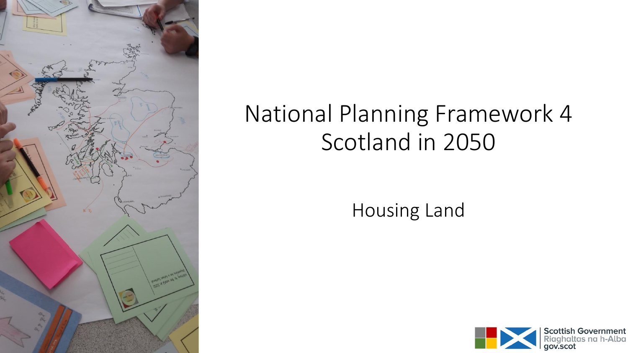

# National Planning Framework 4 Scotland in 2050

Housing Land

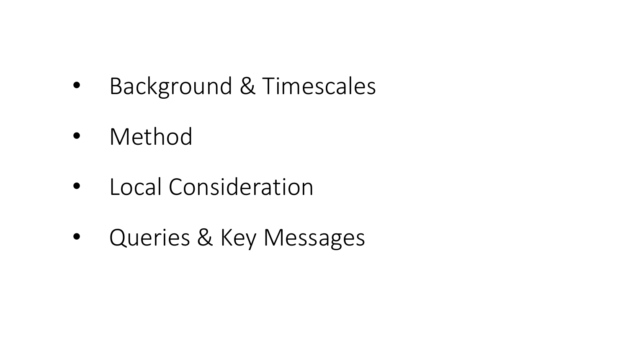- Background & Timescales
- Method
- Local Consideration
- Queries & Key Messages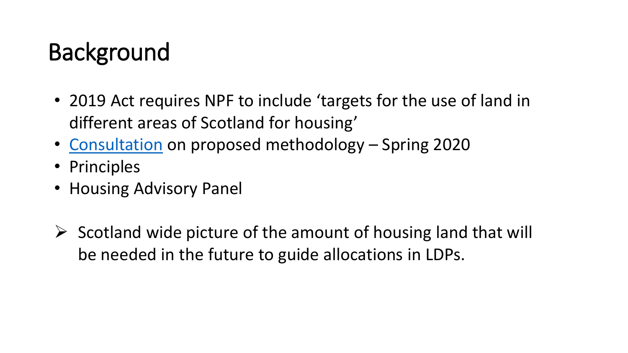# Background

- 2019 Act requires NPF to include 'targets for the use of land in different areas of Scotland for housing'
- [Consultation](https://www.transformingplanning.scot/media/1296/national-planning-framework-4-housing-land-targets-technical-discussion-paper-2-march-2020.pdf) on proposed methodology Spring 2020
- Principles
- Housing Advisory Panel
- $\triangleright$  Scotland wide picture of the amount of housing land that will be needed in the future to guide allocations in LDPs.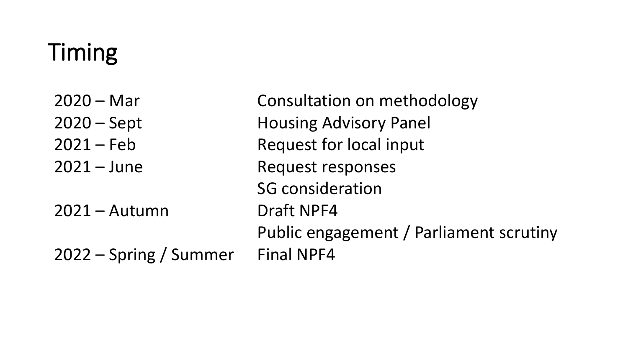# Timing

| $2020 - Mar$           | Consultation on methodology             |
|------------------------|-----------------------------------------|
| $2020 - Sept$          | <b>Housing Advisory Panel</b>           |
| $2021 - Feb$           | Request for local input                 |
| $2021 - June$          | <b>Request responses</b>                |
|                        | <b>SG</b> consideration                 |
| $2021 -$ Autumn        | <b>Draft NPF4</b>                       |
|                        | Public engagement / Parliament scrutiny |
| 2022 – Spring / Summer | <b>Final NPF4</b>                       |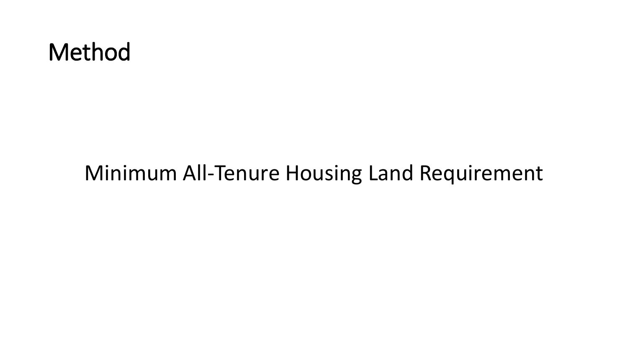#### Method

#### Minimum All-Tenure Housing Land Requirement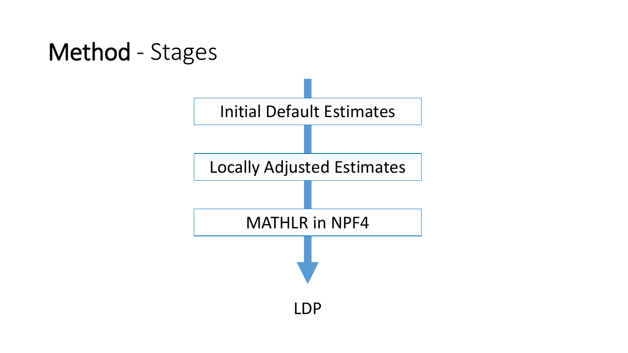## Method - Stages

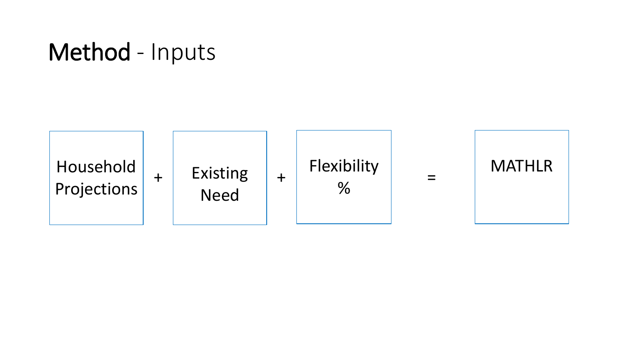#### Method - Inputs

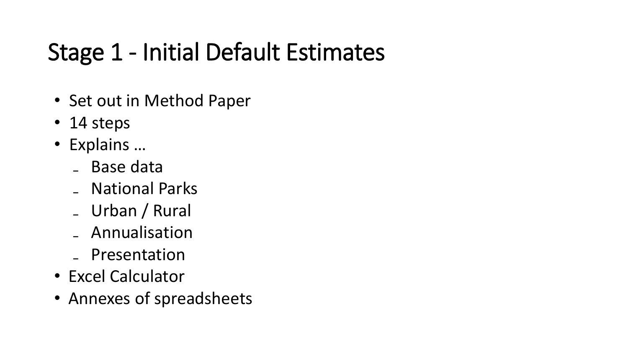# Stage 1 - Initial Default Estimates

- Set out in Method Paper
- 14 steps
- Explains …
	- ₋ Base data
	- ₋ National Parks
	- ₋ Urban / Rural
	- ₋ Annualisation
	- ₋ Presentation
- Excel Calculator
- Annexes of spreadsheets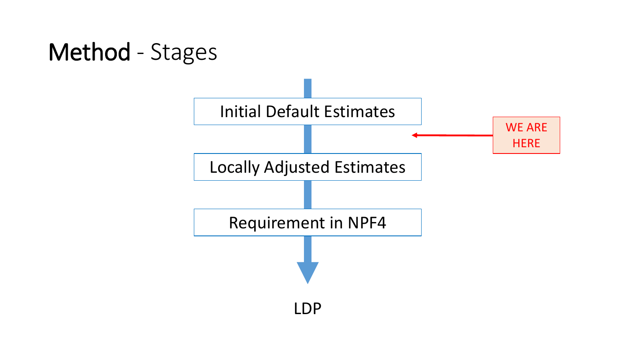# Method - Stages

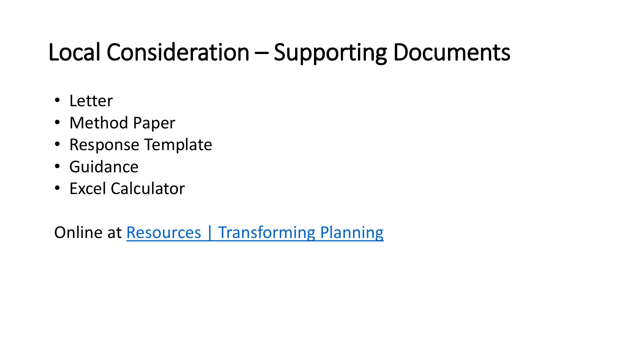# Local Consideration – Supporting Documents

- Letter
- Method Paper
- Response Template
- Guidance
- Excel Calculator

Online at [Resources | Transforming Planning](https://www.transformingplanning.scot/national-planning-framework/resources/)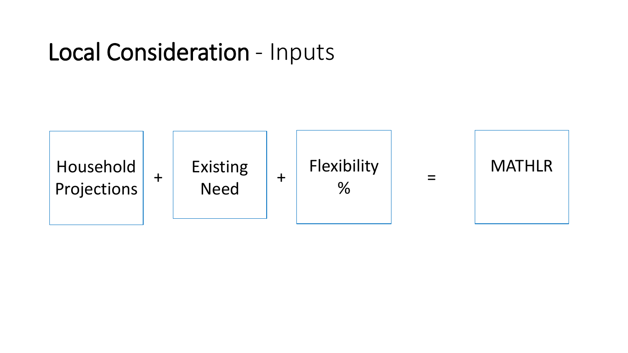#### Local Consideration - Inputs

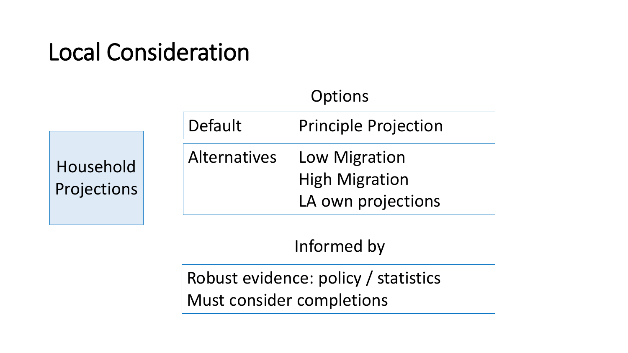# Local Consideration

|                          | Options             |                                                              |  |
|--------------------------|---------------------|--------------------------------------------------------------|--|
|                          | Default             | <b>Principle Projection</b>                                  |  |
| Household<br>Projections | <b>Alternatives</b> | Low Migration<br><b>High Migration</b><br>LA own projections |  |

Informed by

Robust evidence: policy / statistics Must consider completions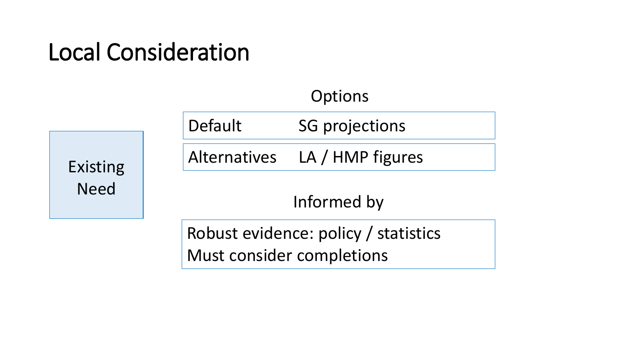# Local Consideration

|                         | <b>Options</b>                       |  |  |
|-------------------------|--------------------------------------|--|--|
| Existing<br><b>Need</b> | Default<br><b>SG projections</b>     |  |  |
|                         | Alternatives LA / HMP figures        |  |  |
|                         | Informed by                          |  |  |
|                         | Robust evidence: policy / statistics |  |  |

Robust evidence: policy / statistics Must consider completions

 $O<sub>n</sub>$   $+$ ;  $\sim$   $\sim$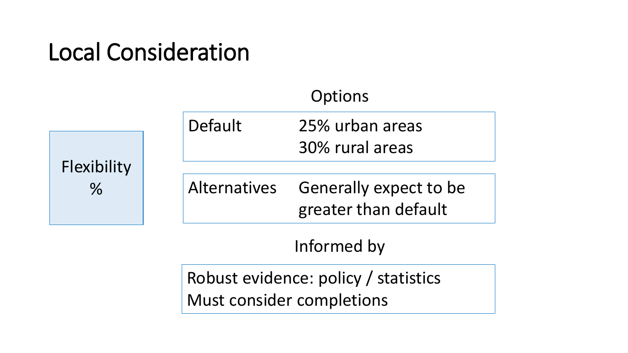# Local Consideration

|                              |              | Options                                               |
|------------------------------|--------------|-------------------------------------------------------|
| Flexibility<br>$\frac{0}{6}$ | Default      | 25% urban areas<br>30% rural areas                    |
|                              | Alternatives | <b>Generally expect to be</b><br>greater than default |
|                              |              | Informed by                                           |
|                              |              |                                                       |

Robust evidence: policy / statistics Must consider completions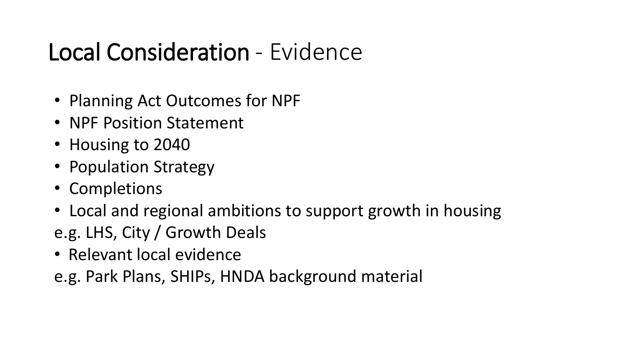# Local Consideration - Evidence

- Planning Act Outcomes for NPF
- NPF Position Statement
- Housing to 2040
- Population Strategy
- Completions
- Local and regional ambitions to support growth in housing
- e.g. LHS, City / Growth Deals
- Relevant local evidence

e.g. Park Plans, SHIPs, HNDA background material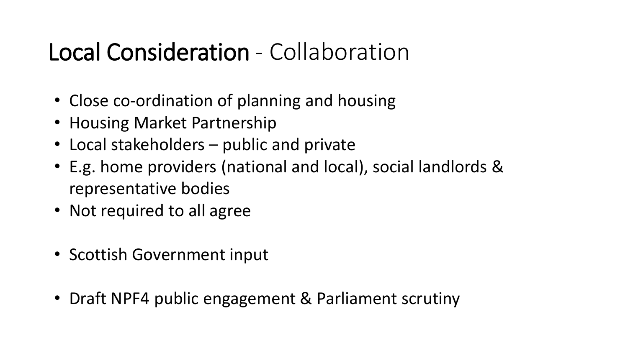# Local Consideration - Collaboration

- Close co-ordination of planning and housing
- Housing Market Partnership
- Local stakeholders public and private
- E.g. home providers (national and local), social landlords & representative bodies
- Not required to all agree
- Scottish Government input
- Draft NPF4 public engagement & Parliament scrutiny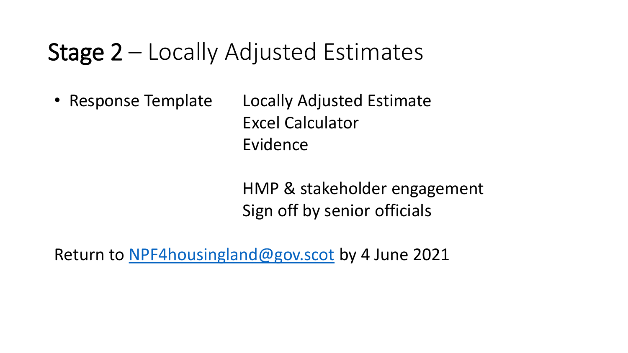#### Stage 2 – Locally Adjusted Estimates

• Response Template Locally Adjusted Estimate Excel Calculator Evidence

> HMP & stakeholder engagement Sign off by senior officials

Return to [NPF4housingland@gov.scot](mailto:NPF4housingland@gov.scot) by 4 June 2021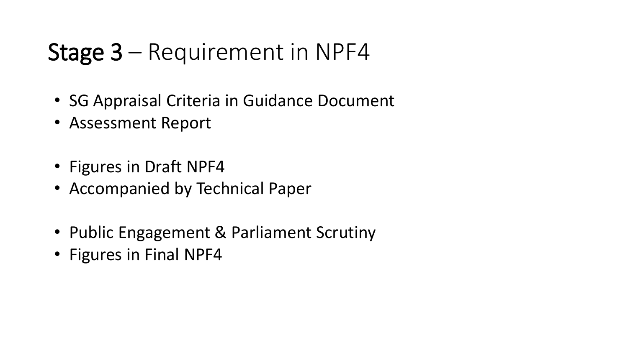### Stage 3 – Requirement in NPF4

- SG Appraisal Criteria in Guidance Document
- Assessment Report
- Figures in Draft NPF4
- Accompanied by Technical Paper
- Public Engagement & Parliament Scrutiny
- Figures in Final NPF4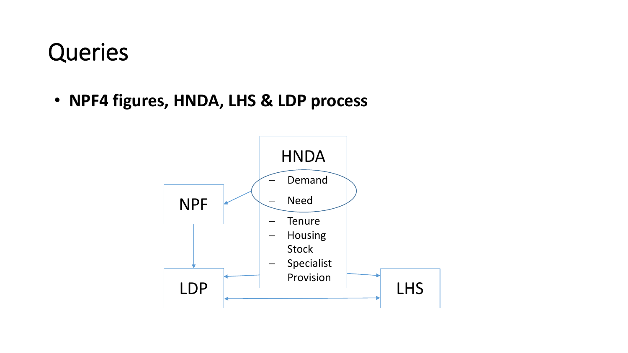• **NPF4 figures, HNDA, LHS & LDP process**

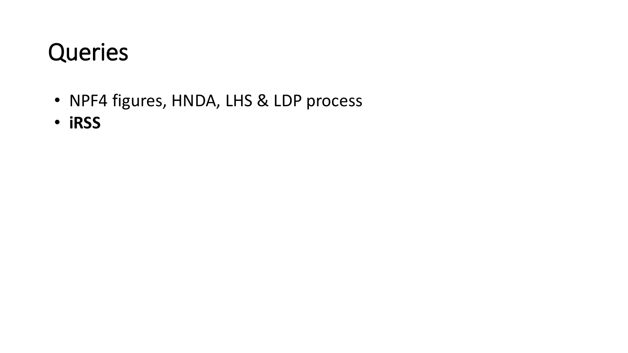- NPF4 figures, HNDA, LHS & LDP process
- **iRSS**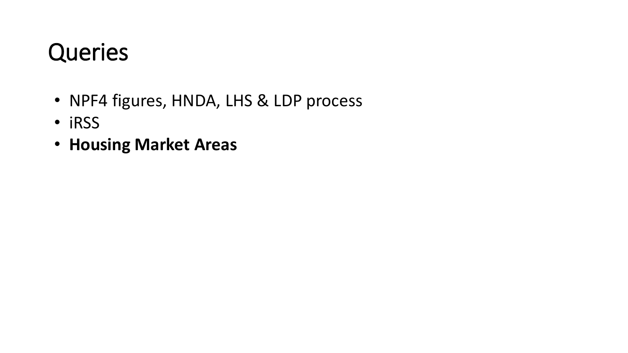- NPF4 figures, HNDA, LHS & LDP process
- iRSS
- **Housing Market Areas**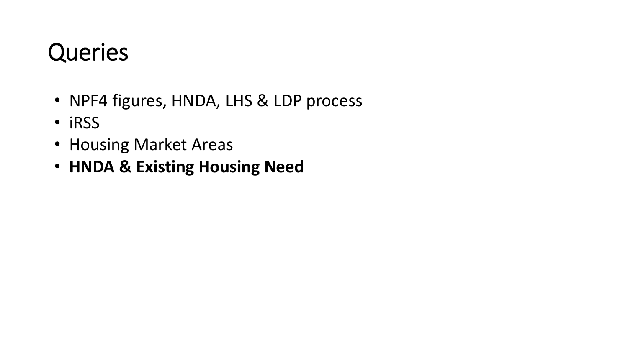- NPF4 figures, HNDA, LHS & LDP process
- iRSS
- Housing Market Areas
- **HNDA & Existing Housing Need**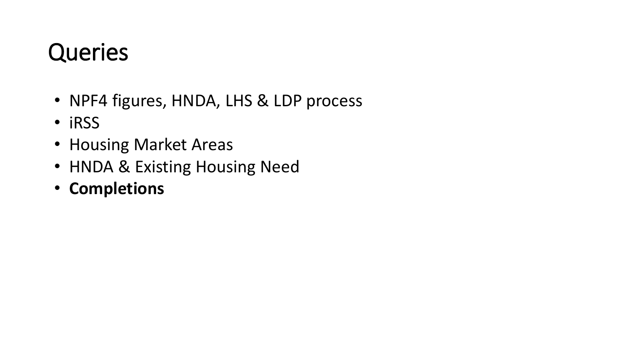- NPF4 figures, HNDA, LHS & LDP process
- iRSS
- Housing Market Areas
- HNDA & Existing Housing Need
- **Completions**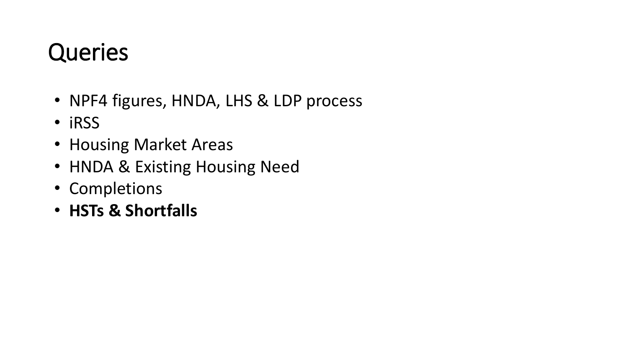- NPF4 figures, HNDA, LHS & LDP process
- iRSS
- Housing Market Areas
- HNDA & Existing Housing Need
- Completions
- **HSTs & Shortfalls**